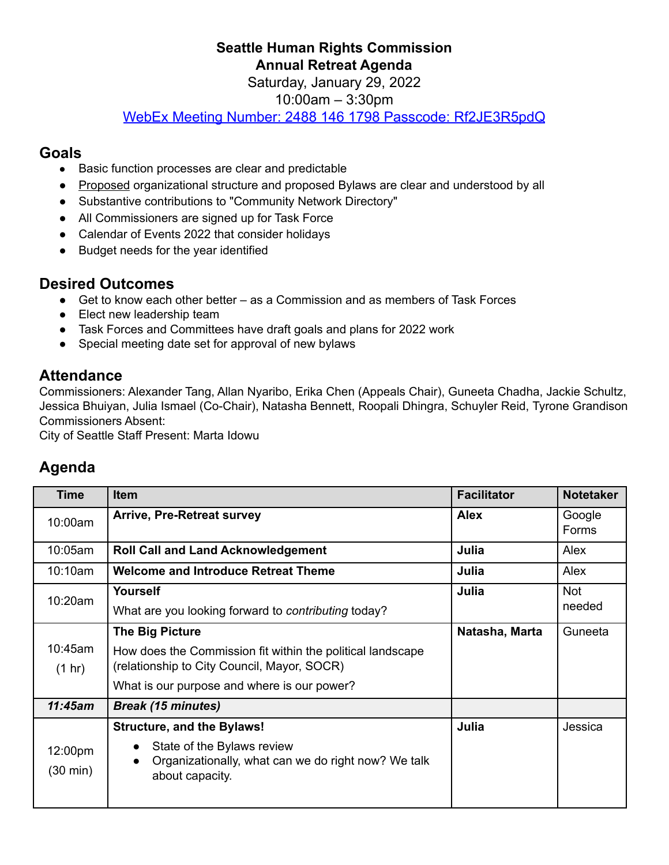#### **Seattle Human Rights Commission Annual Retreat Agenda**

Saturday, January 29, 2022

10:00am – 3:30pm

WebEx Meeting Number: 2488 146 1798 Passcode: [Rf2JE3R5pdQ](https://seattle.webex.com/webappng/sites/seattle/meeting/download/72e0aba4e7c345659a0db4cf530576a7?siteurl=seattle&MTID=mfcd9021a4281dd8dfa05bb486e3ae032)

#### **Goals**

- Basic function processes are clear and predictable
- Proposed organizational structure and proposed Bylaws are clear and understood by all
- Substantive contributions to "Community Network Directory"
- All Commissioners are signed up for Task Force
- Calendar of Events 2022 that consider holidays
- Budget needs for the year identified

## **Desired Outcomes**

- Get to know each other better as a Commission and as members of Task Forces
- Elect new leadership team
- Task Forces and Committees have draft goals and plans for 2022 work
- Special meeting date set for approval of new bylaws

### **Attendance**

Commissioners: Alexander Tang, Allan Nyaribo, Erika Chen (Appeals Chair), Guneeta Chadha, Jackie Schultz, Jessica Bhuiyan, Julia Ismael (Co-Chair), Natasha Bennett, Roopali Dhingra, Schuyler Reid, Tyrone Grandison Commissioners Absent:

City of Seattle Staff Present: Marta Idowu

# **Agenda**

| <b>Time</b>         | <b>Item</b>                                                                                                                                                                        | <b>Facilitator</b> | <b>Notetaker</b>     |
|---------------------|------------------------------------------------------------------------------------------------------------------------------------------------------------------------------------|--------------------|----------------------|
| 10:00am             | <b>Arrive, Pre-Retreat survey</b>                                                                                                                                                  | <b>Alex</b>        | Google<br>Forms      |
| 10:05am             | <b>Roll Call and Land Acknowledgement</b>                                                                                                                                          | Julia              | Alex                 |
| 10:10am             | <b>Welcome and Introduce Retreat Theme</b>                                                                                                                                         | Julia              | Alex                 |
| 10:20am             | Yourself<br>What are you looking forward to contributing today?                                                                                                                    | Julia              | <b>Not</b><br>needed |
| 10:45am<br>(1 hr)   | <b>The Big Picture</b><br>How does the Commission fit within the political landscape<br>(relationship to City Council, Mayor, SOCR)<br>What is our purpose and where is our power? | Natasha, Marta     | Guneeta              |
| 11:45am             | <b>Break (15 minutes)</b>                                                                                                                                                          |                    |                      |
| 12:00pm<br>(30 min) | <b>Structure, and the Bylaws!</b><br>State of the Bylaws review<br>Organizationally, what can we do right now? We talk<br>about capacity.                                          | Julia              | Jessica              |